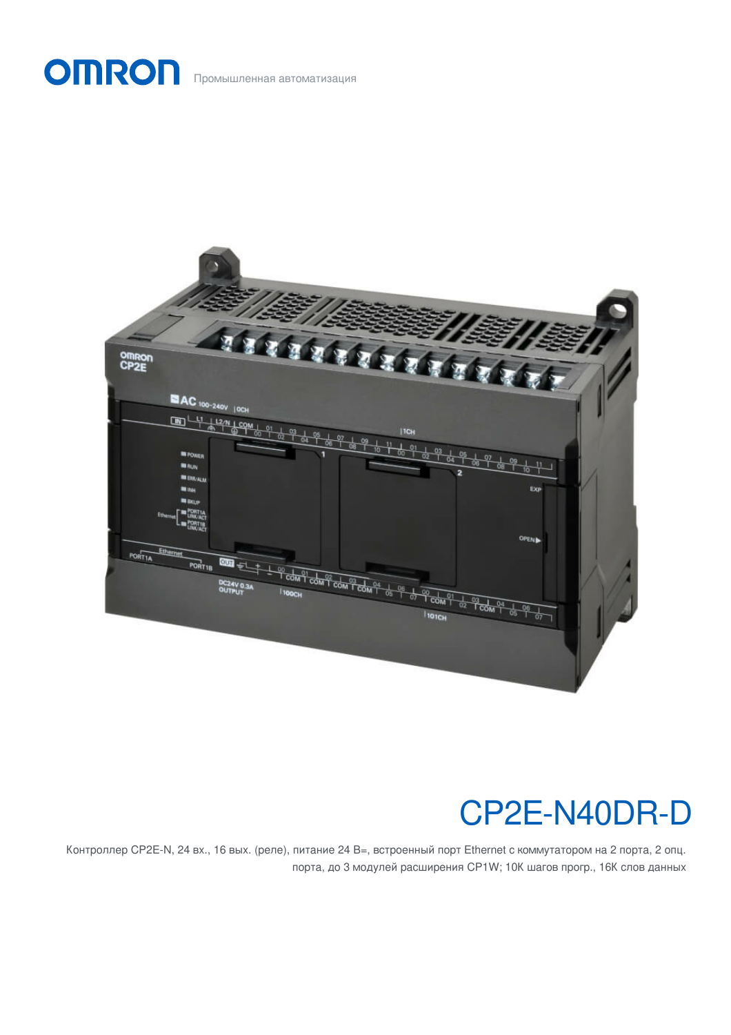## OMRON Промышленная автоматизация



# CP2E-N40DR-D

Контроллер CP2E-N, 24 вх., 16 вых. (реле), питание 24 В=, встроенный порт Ethernet с коммутатором на 2 порта, 2 опц. порта, до 3 модулей расширения CP1W; 10К шагов прогр., 16К слов данных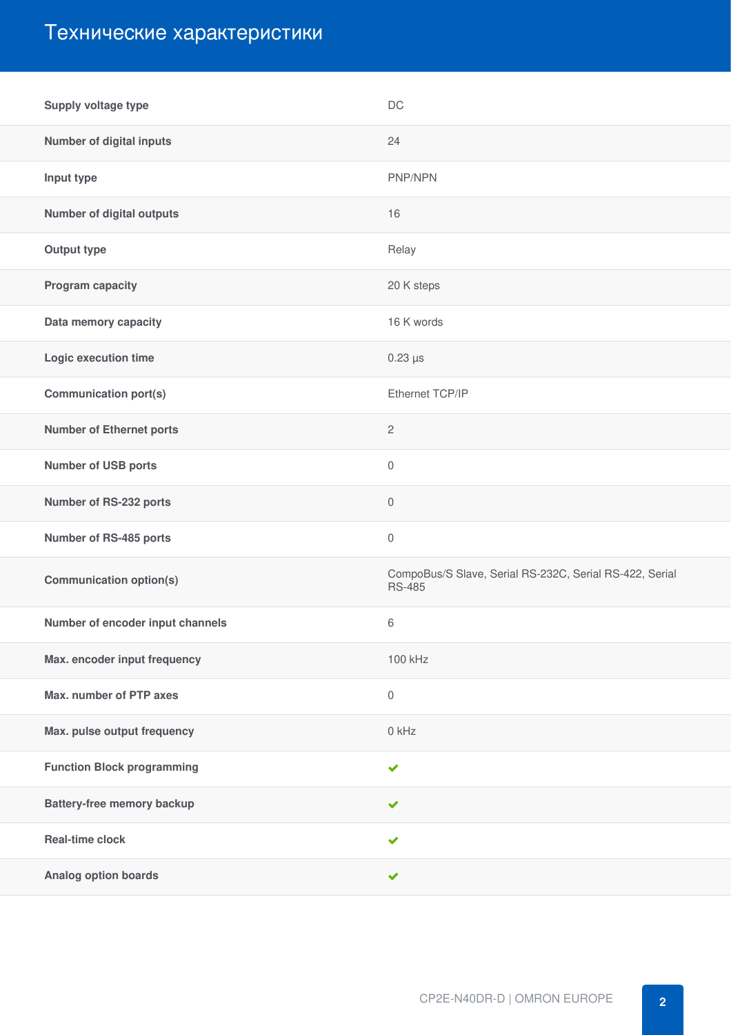### Технические характеристики

| Supply voltage type               | <b>DC</b>                                                                |
|-----------------------------------|--------------------------------------------------------------------------|
| <b>Number of digital inputs</b>   | 24                                                                       |
| Input type                        | PNP/NPN                                                                  |
| <b>Number of digital outputs</b>  | 16                                                                       |
| <b>Output type</b>                | Relay                                                                    |
| Program capacity                  | 20 K steps                                                               |
| Data memory capacity              | 16 K words                                                               |
| Logic execution time              | $0.23 \,\mathrm{\mu s}$                                                  |
| <b>Communication port(s)</b>      | Ethernet TCP/IP                                                          |
| <b>Number of Ethernet ports</b>   | $\overline{c}$                                                           |
| <b>Number of USB ports</b>        | $\mathbf 0$                                                              |
| Number of RS-232 ports            | $\mathbf 0$                                                              |
| Number of RS-485 ports            | $\mathbf 0$                                                              |
| <b>Communication option(s)</b>    | CompoBus/S Slave, Serial RS-232C, Serial RS-422, Serial<br><b>RS-485</b> |
| Number of encoder input channels  | 6                                                                        |
| Max. encoder input frequency      | 100 kHz                                                                  |
| Max. number of PTP axes           | $\mathbb O$                                                              |
| Max. pulse output frequency       | 0 kHz                                                                    |
| <b>Function Block programming</b> | $\checkmark$                                                             |
| <b>Battery-free memory backup</b> | $\checkmark$                                                             |
| <b>Real-time clock</b>            | $\checkmark$                                                             |
| <b>Analog option boards</b>       | ✔                                                                        |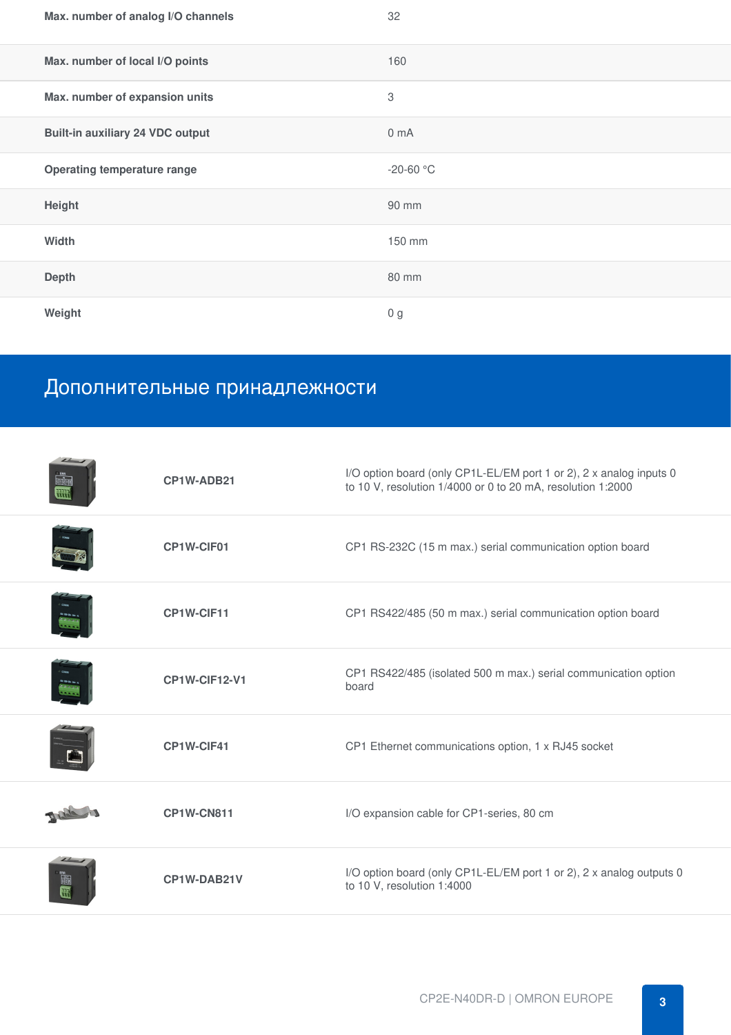| Max. number of analog I/O channels      | 32                        |
|-----------------------------------------|---------------------------|
| Max. number of local I/O points         | 160                       |
| Max. number of expansion units          | $\ensuremath{\mathsf{3}}$ |
| <b>Built-in auxiliary 24 VDC output</b> | 0 <sub>m</sub> A          |
| <b>Operating temperature range</b>      | $-20-60$ °C               |
| Height                                  | 90 mm                     |
| Width                                   | 150 mm                    |
| <b>Depth</b>                            | 80 mm                     |
| Weight                                  | 0 <sub>g</sub>            |

## Дополнительные принадлежности

| CP1W-ADB21        | I/O option board (only CP1L-EL/EM port 1 or 2), 2 x analog inputs 0<br>to 10 V, resolution 1/4000 or 0 to 20 mA, resolution 1:2000 |
|-------------------|------------------------------------------------------------------------------------------------------------------------------------|
| CP1W-CIF01        | CP1 RS-232C (15 m max.) serial communication option board                                                                          |
| CP1W-CIF11        | CP1 RS422/485 (50 m max.) serial communication option board                                                                        |
| CP1W-CIF12-V1     | CP1 RS422/485 (isolated 500 m max.) serial communication option<br>board                                                           |
| CP1W-CIF41        | CP1 Ethernet communications option, 1 x RJ45 socket                                                                                |
| <b>CP1W-CN811</b> | I/O expansion cable for CP1-series, 80 cm                                                                                          |
| CP1W-DAB21V       | I/O option board (only CP1L-EL/EM port 1 or 2), 2 x analog outputs 0<br>to 10 V, resolution 1:4000                                 |
|                   |                                                                                                                                    |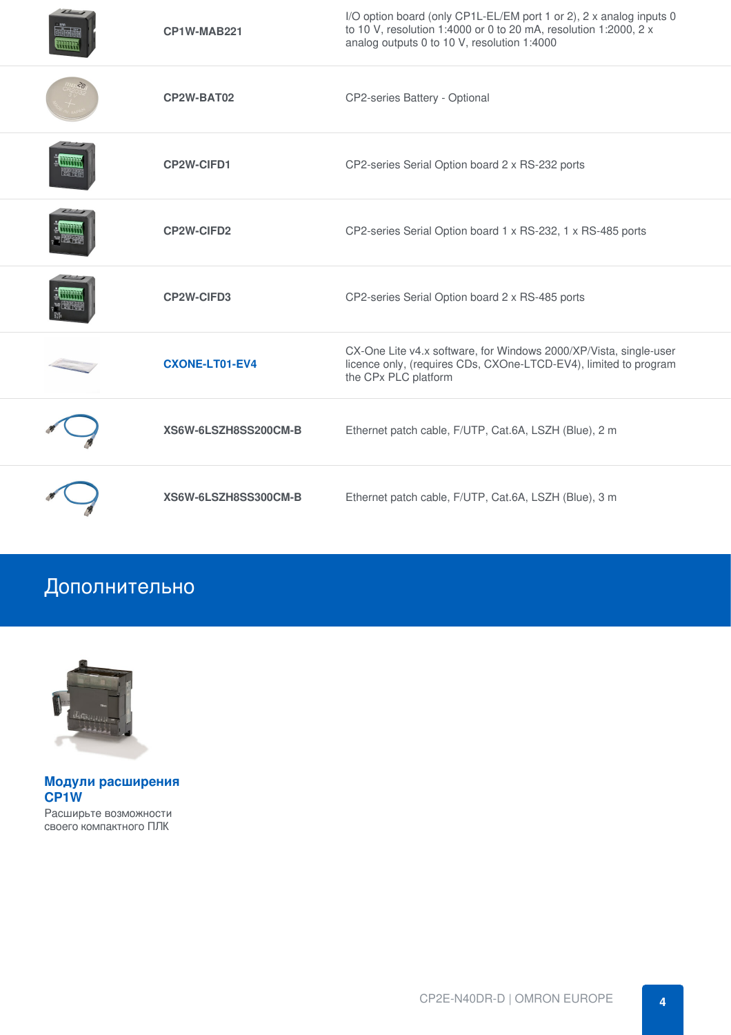|             | CP1W-MAB221           | I/O option board (only CP1L-EL/EM port 1 or 2), 2 x analog inputs 0<br>to 10 V, resolution 1:4000 or 0 to 20 mA, resolution 1:2000, 2 x<br>analog outputs 0 to 10 V, resolution 1:4000 |
|-------------|-----------------------|----------------------------------------------------------------------------------------------------------------------------------------------------------------------------------------|
|             | CP2W-BAT02            | CP2-series Battery - Optional                                                                                                                                                          |
| - 633444444 | CP2W-CIFD1            | CP2-series Serial Option board 2 x RS-232 ports                                                                                                                                        |
|             | <b>CP2W-CIFD2</b>     | CP2-series Serial Option board 1 x RS-232, 1 x RS-485 ports                                                                                                                            |
|             | <b>CP2W-CIFD3</b>     | CP2-series Serial Option board 2 x RS-485 ports                                                                                                                                        |
|             | <b>CXONE-LT01-EV4</b> | CX-One Lite v4.x software, for Windows 2000/XP/Vista, single-user<br>licence only, (requires CDs, CXOne-LTCD-EV4), limited to program<br>the CPx PLC platform                          |
|             | XS6W-6LSZH8SS200CM-B  | Ethernet patch cable, F/UTP, Cat.6A, LSZH (Blue), 2 m                                                                                                                                  |
|             | XS6W-6LSZH8SS300CM-B  | Ethernet patch cable, F/UTP, Cat.6A, LSZH (Blue), 3 m                                                                                                                                  |

### Дополнительно



**Модули [расширения](https://industrial.omron.ru/ru/products/cp1w-expansion-units) CP1W** Расширьте возможности своего компактного ПЛК

CP2E-N40DR-D | OMRON EUROPE **4**